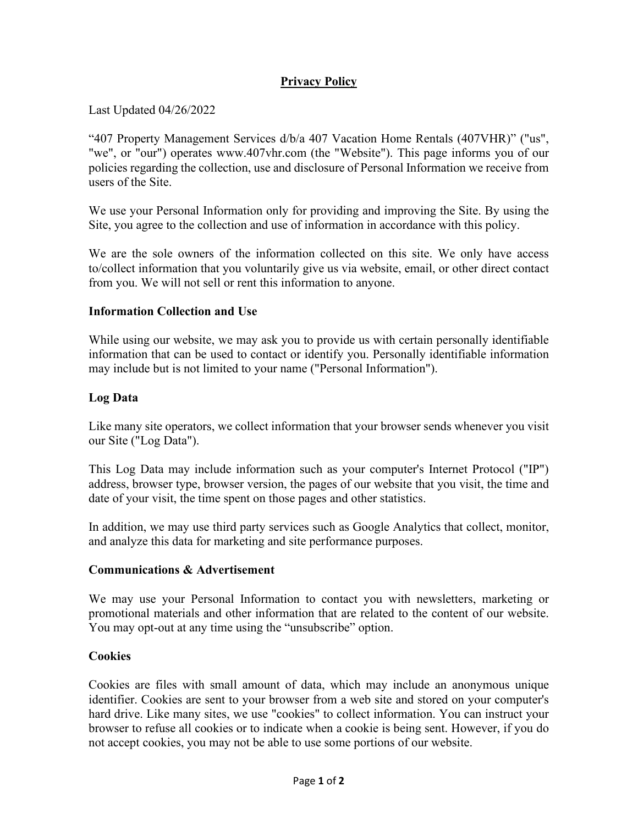# **Privacy Policy**

Last Updated 04/26/2022

"407 Property Management Services d/b/a 407 Vacation Home Rentals (407VHR)" ("us", "we", or "our") operates www.407vhr.com (the "Website"). This page informs you of our policies regarding the collection, use and disclosure of Personal Information we receive from users of the Site.

We use your Personal Information only for providing and improving the Site. By using the Site, you agree to the collection and use of information in accordance with this policy.

We are the sole owners of the information collected on this site. We only have access to/collect information that you voluntarily give us via website, email, or other direct contact from you. We will not sell or rent this information to anyone.

### **Information Collection and Use**

While using our website, we may ask you to provide us with certain personally identifiable information that can be used to contact or identify you. Personally identifiable information may include but is not limited to your name ("Personal Information").

### **Log Data**

Like many site operators, we collect information that your browser sends whenever you visit our Site ("Log Data").

This Log Data may include information such as your computer's Internet Protocol ("IP") address, browser type, browser version, the pages of our website that you visit, the time and date of your visit, the time spent on those pages and other statistics.

In addition, we may use third party services such as Google Analytics that collect, monitor, and analyze this data for marketing and site performance purposes.

#### **Communications & Advertisement**

We may use your Personal Information to contact you with newsletters, marketing or promotional materials and other information that are related to the content of our website. You may opt-out at any time using the "unsubscribe" option.

#### **Cookies**

Cookies are files with small amount of data, which may include an anonymous unique identifier. Cookies are sent to your browser from a web site and stored on your computer's hard drive. Like many sites, we use "cookies" to collect information. You can instruct your browser to refuse all cookies or to indicate when a cookie is being sent. However, if you do not accept cookies, you may not be able to use some portions of our website.